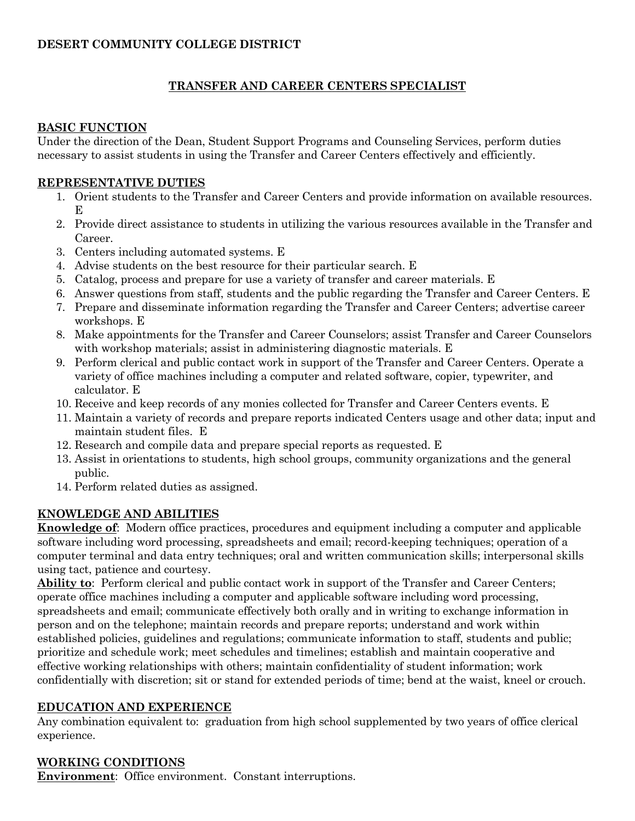## **TRANSFER AND CAREER CENTERS SPECIALIST**

#### **BASIC FUNCTION**

Under the direction of the Dean, Student Support Programs and Counseling Services, perform duties necessary to assist students in using the Transfer and Career Centers effectively and efficiently.

### **REPRESENTATIVE DUTIES**

- 1. Orient students to the Transfer and Career Centers and provide information on available resources. E
- 2. Provide direct assistance to students in utilizing the various resources available in the Transfer and Career.
- 3. Centers including automated systems. E
- 4. Advise students on the best resource for their particular search. E
- 5. Catalog, process and prepare for use a variety of transfer and career materials. E
- 6. Answer questions from staff, students and the public regarding the Transfer and Career Centers. E
- 7. Prepare and disseminate information regarding the Transfer and Career Centers; advertise career workshops. E
- 8. Make appointments for the Transfer and Career Counselors; assist Transfer and Career Counselors with workshop materials; assist in administering diagnostic materials. E
- 9. Perform clerical and public contact work in support of the Transfer and Career Centers. Operate a variety of office machines including a computer and related software, copier, typewriter, and calculator. E
- 10. Receive and keep records of any monies collected for Transfer and Career Centers events. E
- 11. Maintain a variety of records and prepare reports indicated Centers usage and other data; input and maintain student files. E
- 12. Research and compile data and prepare special reports as requested. E
- 13. Assist in orientations to students, high school groups, community organizations and the general public.
- 14. Perform related duties as assigned.

# **KNOWLEDGE AND ABILITIES**

**Knowledge of**: Modern office practices, procedures and equipment including a computer and applicable software including word processing, spreadsheets and email; record-keeping techniques; operation of a computer terminal and data entry techniques; oral and written communication skills; interpersonal skills using tact, patience and courtesy.

**Ability to**: Perform clerical and public contact work in support of the Transfer and Career Centers; operate office machines including a computer and applicable software including word processing, spreadsheets and email; communicate effectively both orally and in writing to exchange information in person and on the telephone; maintain records and prepare reports; understand and work within established policies, guidelines and regulations; communicate information to staff, students and public; prioritize and schedule work; meet schedules and timelines; establish and maintain cooperative and effective working relationships with others; maintain confidentiality of student information; work confidentially with discretion; sit or stand for extended periods of time; bend at the waist, kneel or crouch.

#### **EDUCATION AND EXPERIENCE**

Any combination equivalent to: graduation from high school supplemented by two years of office clerical experience.

## **WORKING CONDITIONS**

**Environment**: Office environment. Constant interruptions.